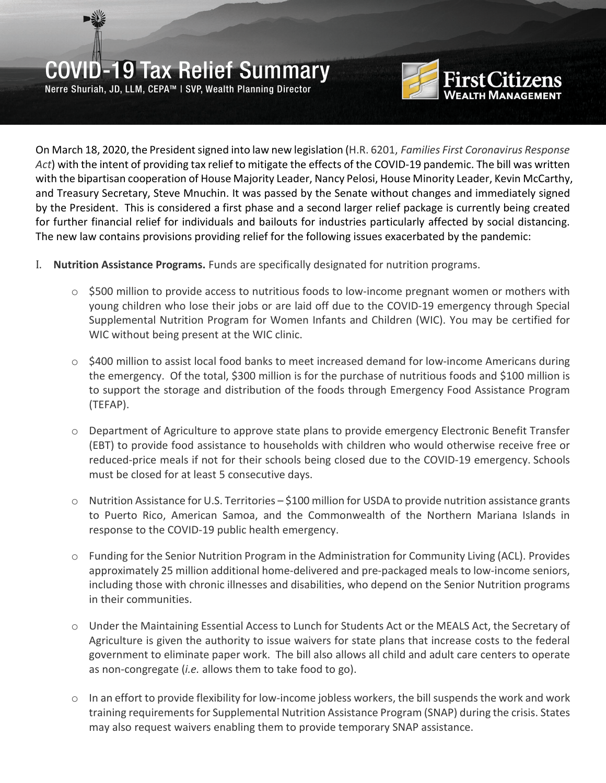Nerre Shuriah, JD, LLM, CEPA™ | SVP, Wealth Planning Director



On March 18, 2020, the President signed into law new legislation (H.R. 6201, *Families First Coronavirus Response Act*) with the intent of providing tax relief to mitigate the effects of the COVID-19 pandemic. The bill was written with the bipartisan cooperation of House Majority Leader, Nancy Pelosi, House Minority Leader, Kevin McCarthy, and Treasury Secretary, Steve Mnuchin. It was passed by the Senate without changes and immediately signed by the President. This is considered a first phase and a second larger relief package is currently being created for further financial relief for individuals and bailouts for industries particularly affected by social distancing. The new law contains provisions providing relief for the following issues exacerbated by the pandemic:

- I. **Nutrition Assistance Programs.** Funds are specifically designated for nutrition programs.
	- $\circ$  \$500 million to provide access to nutritious foods to low-income pregnant women or mothers with young children who lose their jobs or are laid off due to the COVID-19 emergency through Special Supplemental Nutrition Program for Women Infants and Children (WIC). You may be certified for WIC without being present at the WIC clinic.
	- $\circ$  \$400 million to assist local food banks to meet increased demand for low-income Americans during the emergency. Of the total, \$300 million is for the purchase of nutritious foods and \$100 million is to support the storage and distribution of the foods through Emergency Food Assistance Program (TEFAP).
	- o Department of Agriculture to approve state plans to provide emergency Electronic Benefit Transfer (EBT) to provide food assistance to households with children who would otherwise receive free or reduced-price meals if not for their schools being closed due to the COVID-19 emergency. Schools must be closed for at least 5 consecutive days.
	- $\circ$  Nutrition Assistance for U.S. Territories \$100 million for USDA to provide nutrition assistance grants to Puerto Rico, American Samoa, and the Commonwealth of the Northern Mariana Islands in response to the COVID-19 public health emergency.
	- $\circ$  Funding for the Senior Nutrition Program in the Administration for Community Living (ACL). Provides approximately 25 million additional home-delivered and pre-packaged meals to low-income seniors, including those with chronic illnesses and disabilities, who depend on the Senior Nutrition programs in their communities.
	- o Under the Maintaining Essential Access to Lunch for Students Act or the MEALS Act, the Secretary of Agriculture is given the authority to issue waivers for state plans that increase costs to the federal government to eliminate paper work. The bill also allows all child and adult care centers to operate as non-congregate (*i.e.* allows them to take food to go).
	- $\circ$  In an effort to provide flexibility for low-income jobless workers, the bill suspends the work and work training requirements for Supplemental Nutrition Assistance Program (SNAP) during the crisis. States may also request waivers enabling them to provide temporary SNAP assistance.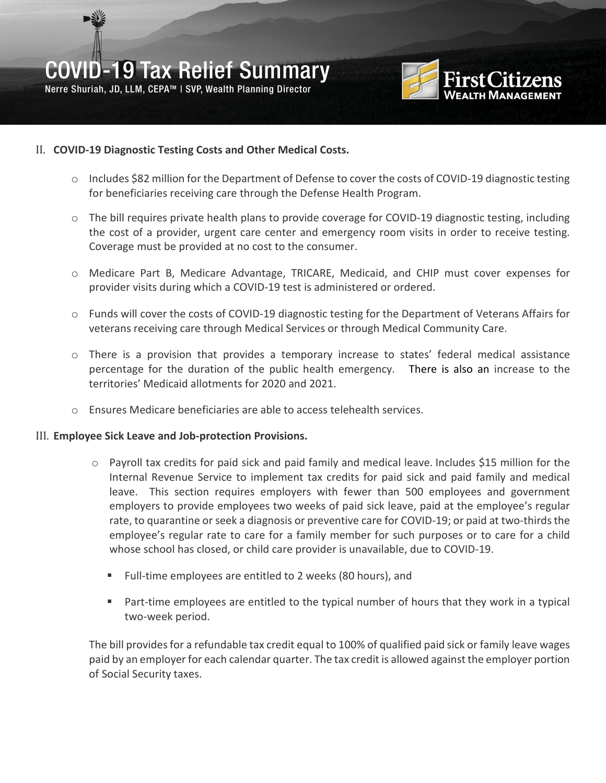Nerre Shuriah, JD, LLM, CEPA™ | SVP, Wealth Planning Director



#### II. **COVID-19 Diagnostic Testing Costs and Other Medical Costs.**

- o Includes \$82 million for the Department of Defense to cover the costs of COVID-19 diagnostic testing for beneficiaries receiving care through the Defense Health Program.
- $\circ$  The bill requires private health plans to provide coverage for COVID-19 diagnostic testing, including the cost of a provider, urgent care center and emergency room visits in order to receive testing. Coverage must be provided at no cost to the consumer.
- o Medicare Part B, Medicare Advantage, TRICARE, Medicaid, and CHIP must cover expenses for provider visits during which a COVID-19 test is administered or ordered.
- o Funds will cover the costs of COVID-19 diagnostic testing for the Department of Veterans Affairs for veterans receiving care through Medical Services or through Medical Community Care.
- $\circ$  There is a provision that provides a temporary increase to states' federal medical assistance percentage for the duration of the public health emergency. There is also an increase to the territories' Medicaid allotments for 2020 and 2021.
- $\circ$  Ensures Medicare beneficiaries are able to access telehealth services.

#### III. **Employee Sick Leave and Job-protection Provisions.**

- $\circ$  Payroll tax credits for paid sick and paid family and medical leave. Includes \$15 million for the Internal Revenue Service to implement tax credits for paid sick and paid family and medical leave. This section requires employers with fewer than 500 employees and government employers to provide employees two weeks of paid sick leave, paid at the employee's regular rate, to quarantine or seek a diagnosis or preventive care for COVID-19; or paid at two-thirds the employee's regular rate to care for a family member for such purposes or to care for a child whose school has closed, or child care provider is unavailable, due to COVID-19.
	- Full-time employees are entitled to 2 weeks (80 hours), and
	- Part-time employees are entitled to the typical number of hours that they work in a typical two-week period.

The bill provides for a refundable tax credit equal to 100% of qualified paid sick or family leave wages paid by an employer for each calendar quarter. The tax credit is allowed against the employer portion of Social Security taxes.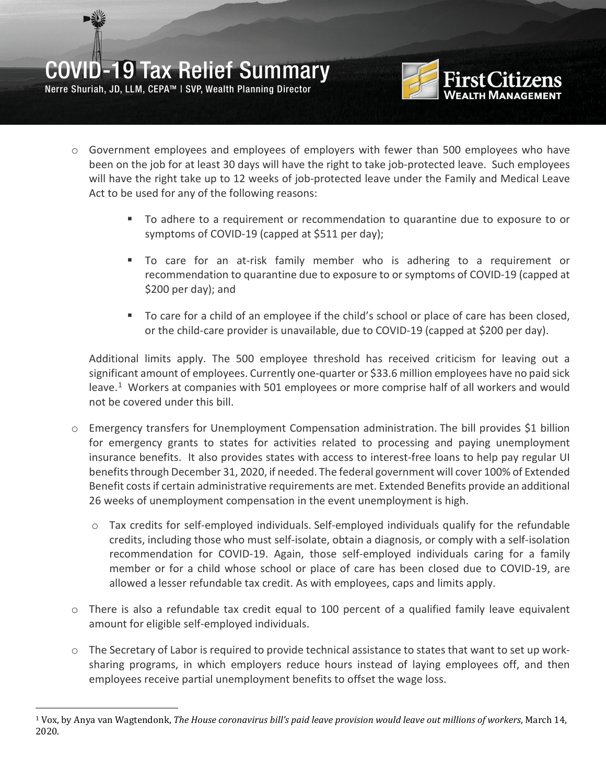Nerre Shuriah, JD, LLM, CEPA™ | SVP, Wealth Planning Director



- o Government employees and employees of employers with fewer than 500 employees who have been on the job for at least 30 days will have the right to take job-protected leave. Such employees will have the right take up to 12 weeks of job-protected leave under the Family and Medical Leave Act to be used for any of the following reasons:
	- To adhere to a requirement or recommendation to quarantine due to exposure to or symptoms of COVID-19 (capped at \$511 per day);
	- To care for an at-risk family member who is adhering to a requirement or recommendation to quarantine due to exposure to or symptoms of COVID-19 (capped at \$200 per day); and
	- To care for a child of an employee if the child's school or place of care has been closed, or the child-care provider is unavailable, due to COVID-19 (capped at \$200 per day).

Additional limits apply. The 500 employee threshold has received criticism for leaving out a significant amount of employees. Currently one-quarter or \$33.6 million employees have no paid sick leave.<sup>[1](#page-2-0)</sup> Workers at companies with 501 employees or more comprise half of all workers and would not be covered under this bill.

- o Emergency transfers for Unemployment Compensation administration. The bill provides \$1 billion for emergency grants to states for activities related to processing and paying unemployment insurance benefits. It also provides states with access to interest-free loans to help pay regular UI benefits through December 31, 2020, if needed. The federal government will cover 100% of Extended Benefit costs if certain administrative requirements are met. Extended Benefits provide an additional 26 weeks of unemployment compensation in the event unemployment is high.
	- $\circ$  Tax credits for self-employed individuals. Self-employed individuals qualify for the refundable credits, including those who must self-isolate, obtain a diagnosis, or comply with a self-isolation recommendation for COVID-19. Again, those self-employed individuals caring for a family member or for a child whose school or place of care has been closed due to COVID-19, are allowed a lesser refundable tax credit. As with employees, caps and limits apply.
- $\circ$  There is also a refundable tax credit equal to 100 percent of a qualified family leave equivalent amount for eligible self-employed individuals.
- $\circ$  The Secretary of Labor is required to provide technical assistance to states that want to set up worksharing programs, in which employers reduce hours instead of laying employees off, and then employees receive partial unemployment benefits to offset the wage loss.

<span id="page-2-0"></span> <sup>1</sup> Vox, by Anya van Wagtendonk, *The House coronavirus bill's paid leave provision would leave out millions of workers*, March 14, 2020.